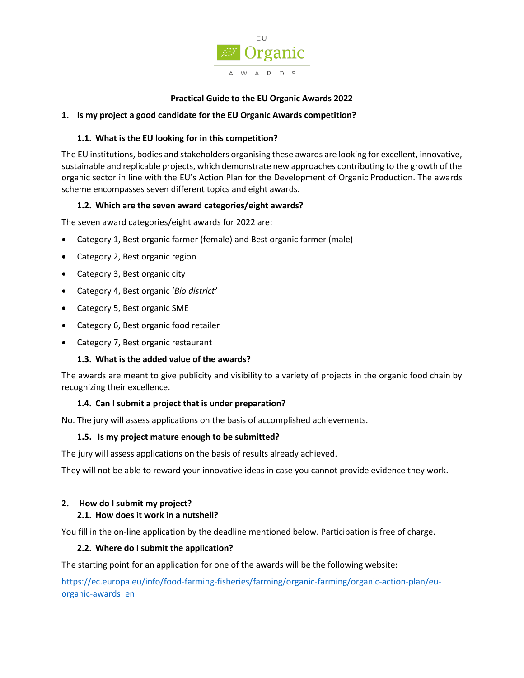

## **Practical Guide to the EU Organic Awards 2022**

## **1. Is my project a good candidate for the EU Organic Awards competition?**

## **1.1. What is the EU looking for in this competition?**

The EU institutions, bodies and stakeholders organising these awards are looking for excellent, innovative, sustainable and replicable projects, which demonstrate new approaches contributing to the growth of the organic sector in line with the EU's Action Plan for the Development of Organic Production. The awards scheme encompasses seven different topics and eight awards.

## **1.2. Which are the seven award categories/eight awards?**

The seven award categories/eight awards for 2022 are:

- Category 1, Best organic farmer (female) and Best organic farmer (male)
- Category 2, Best organic region
- Category 3, Best organic city
- Category 4, Best organic '*Bio district'*
- Category 5, Best organic SME
- Category 6, Best organic food retailer
- Category 7, Best organic restaurant

## **1.3. What is the added value of the awards?**

The awards are meant to give publicity and visibility to a variety of projects in the organic food chain by recognizing their excellence.

## **1.4. Can I submit a project that is under preparation?**

No. The jury will assess applications on the basis of accomplished achievements.

## **1.5. Is my project mature enough to be submitted?**

The jury will assess applications on the basis of results already achieved.

They will not be able to reward your innovative ideas in case you cannot provide evidence they work.

## **2. How do I submit my project?**

## **2.1. How does it work in a nutshell?**

You fill in the on-line application by the deadline mentioned below. Participation is free of charge.

## **2.2. Where do I submit the application?**

The starting point for an application for one of the awards will be the following website:

[https://ec.europa.eu/info/food-farming-fisheries/farming/organic-farming/organic-action-plan/eu](https://ec.europa.eu/info/food-farming-fisheries/farming/organic-farming/organic-action-plan/eu-organic-awards_en)[organic-awards\\_en](https://ec.europa.eu/info/food-farming-fisheries/farming/organic-farming/organic-action-plan/eu-organic-awards_en)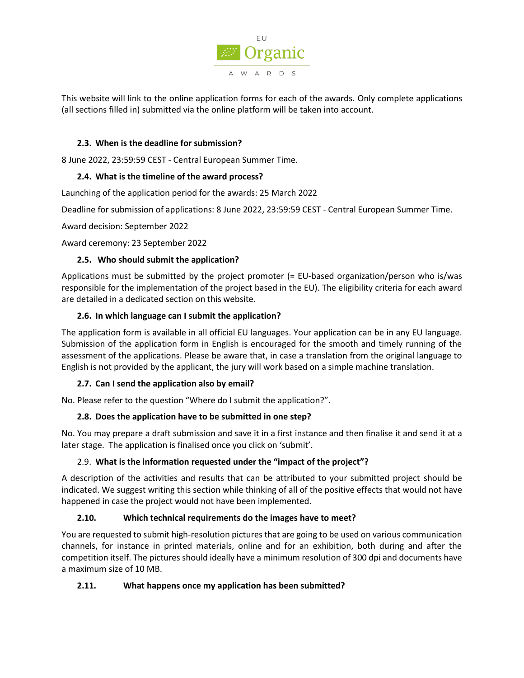

This website will link to the online application forms for each of the awards. Only complete applications (all sections filled in) submitted via the online platform will be taken into account.

## **2.3. When is the deadline for submission?**

8 June 2022, 23:59:59 CEST - Central European Summer Time.

## **2.4. What is the timeline of the award process?**

Launching of the application period for the awards: 25 March 2022

Deadline for submission of applications: 8 June 2022, 23:59:59 CEST - Central European Summer Time.

Award decision: September 2022

Award ceremony: 23 September 2022

## **2.5. Who should submit the application?**

Applications must be submitted by the project promoter (= EU-based organization/person who is/was responsible for the implementation of the project based in the EU). The eligibility criteria for each award are detailed in a dedicated section on this website.

## **2.6. In which language can I submit the application?**

The application form is available in all official EU languages. Your application can be in any EU language. Submission of the application form in English is encouraged for the smooth and timely running of the assessment of the applications. Please be aware that, in case a translation from the original language to English is not provided by the applicant, the jury will work based on a simple machine translation.

# **2.7. Can I send the application also by email?**

No. Please refer to the question "Where do I submit the application?".

# **2.8. Does the application have to be submitted in one step?**

No. You may prepare a draft submission and save it in a first instance and then finalise it and send it at a later stage. The application is finalised once you click on 'submit'.

## 2.9. **What is the information requested under the "impact of the project"?**

A description of the activities and results that can be attributed to your submitted project should be indicated. We suggest writing this section while thinking of all of the positive effects that would not have happened in case the project would not have been implemented.

## **2.10. Which technical requirements do the images have to meet?**

You are requested to submit high-resolution pictures that are going to be used on various communication channels, for instance in printed materials, online and for an exhibition, both during and after the competition itself. The pictures should ideally have a minimum resolution of 300 dpi and documents have a maximum size of 10 MB.

## **2.11. What happens once my application has been submitted?**